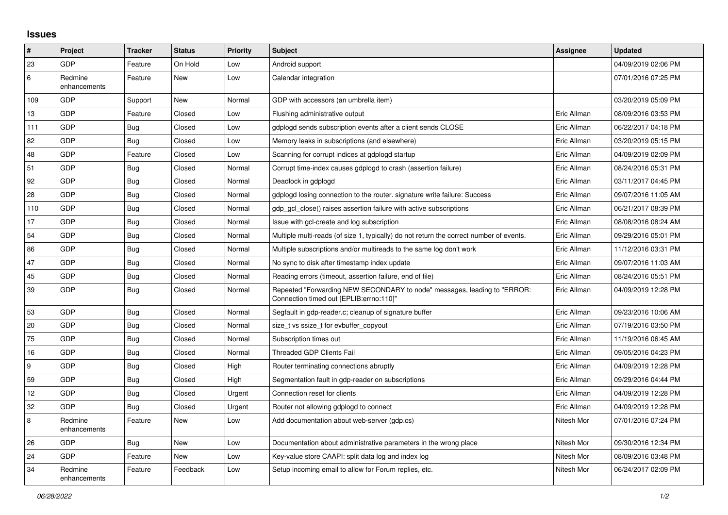## **Issues**

| $\vert$ #        | Project                 | <b>Tracker</b> | <b>Status</b> | <b>Priority</b> | <b>Subject</b>                                                                                                      | Assignee    | <b>Updated</b>      |
|------------------|-------------------------|----------------|---------------|-----------------|---------------------------------------------------------------------------------------------------------------------|-------------|---------------------|
| 23               | GDP                     | Feature        | On Hold       | Low             | Android support                                                                                                     |             | 04/09/2019 02:06 PM |
| 6                | Redmine<br>enhancements | Feature        | <b>New</b>    | Low             | Calendar integration                                                                                                |             | 07/01/2016 07:25 PM |
| 109              | GDP                     | Support        | <b>New</b>    | Normal          | GDP with accessors (an umbrella item)                                                                               |             | 03/20/2019 05:09 PM |
| 13               | GDP                     | Feature        | Closed        | Low             | Flushing administrative output                                                                                      | Eric Allman | 08/09/2016 03:53 PM |
| 111              | GDP                     | Bug            | Closed        | Low             | gdplogd sends subscription events after a client sends CLOSE                                                        | Eric Allman | 06/22/2017 04:18 PM |
| 82               | <b>GDP</b>              | <b>Bug</b>     | Closed        | Low             | Memory leaks in subscriptions (and elsewhere)                                                                       | Eric Allman | 03/20/2019 05:15 PM |
| 48               | GDP                     | Feature        | Closed        | Low             | Scanning for corrupt indices at gdplogd startup                                                                     | Eric Allman | 04/09/2019 02:09 PM |
| 51               | GDP                     | Bug            | Closed        | Normal          | Corrupt time-index causes gdplogd to crash (assertion failure)                                                      | Eric Allman | 08/24/2016 05:31 PM |
| 92               | GDP                     | <b>Bug</b>     | Closed        | Normal          | Deadlock in gdplogd                                                                                                 | Eric Allman | 03/11/2017 04:45 PM |
| 28               | GDP                     | <b>Bug</b>     | Closed        | Normal          | adpload losing connection to the router, signature write failure: Success                                           | Eric Allman | 09/07/2016 11:05 AM |
| 110              | GDP                     | <b>Bug</b>     | Closed        | Normal          | adp acl close() raises assertion failure with active subscriptions                                                  | Eric Allman | 06/21/2017 08:39 PM |
| 17               | <b>GDP</b>              | <b>Bug</b>     | Closed        | Normal          | Issue with gcl-create and log subscription                                                                          | Eric Allman | 08/08/2016 08:24 AM |
| 54               | GDP                     | <b>Bug</b>     | Closed        | Normal          | Multiple multi-reads (of size 1, typically) do not return the correct number of events.                             | Eric Allman | 09/29/2016 05:01 PM |
| 86               | GDP                     | Bug            | Closed        | Normal          | Multiple subscriptions and/or multireads to the same log don't work                                                 | Eric Allman | 11/12/2016 03:31 PM |
| 47               | <b>GDP</b>              | <b>Bug</b>     | Closed        | Normal          | No sync to disk after timestamp index update                                                                        | Eric Allman | 09/07/2016 11:03 AM |
| 45               | GDP                     | Bug            | Closed        | Normal          | Reading errors (timeout, assertion failure, end of file)                                                            | Eric Allman | 08/24/2016 05:51 PM |
| 39               | GDP                     | <b>Bug</b>     | Closed        | Normal          | Repeated "Forwarding NEW SECONDARY to node" messages, leading to "ERROR:<br>Connection timed out [EPLIB:errno:110]" | Eric Allman | 04/09/2019 12:28 PM |
| 53               | GDP                     | Bug            | Closed        | Normal          | Segfault in gdp-reader.c; cleanup of signature buffer                                                               | Eric Allman | 09/23/2016 10:06 AM |
| 20               | GDP                     | <b>Bug</b>     | Closed        | Normal          | size_t vs ssize_t for evbuffer_copyout                                                                              | Eric Allman | 07/19/2016 03:50 PM |
| 75               | <b>GDP</b>              | <b>Bug</b>     | Closed        | Normal          | Subscription times out                                                                                              | Eric Allman | 11/19/2016 06:45 AM |
| 16               | GDP                     | <b>Bug</b>     | Closed        | Normal          | <b>Threaded GDP Clients Fail</b>                                                                                    | Eric Allman | 09/05/2016 04:23 PM |
| $\boldsymbol{9}$ | GDP                     | <b>Bug</b>     | Closed        | High            | Router terminating connections abruptly                                                                             | Eric Allman | 04/09/2019 12:28 PM |
| 59               | GDP                     | Bug            | Closed        | High            | Segmentation fault in gdp-reader on subscriptions                                                                   | Eric Allman | 09/29/2016 04:44 PM |
| 12               | <b>GDP</b>              | Bug            | Closed        | Urgent          | Connection reset for clients                                                                                        | Eric Allman | 04/09/2019 12:28 PM |
| 32               | <b>GDP</b>              | Bug            | Closed        | Urgent          | Router not allowing gdplogd to connect                                                                              | Eric Allman | 04/09/2019 12:28 PM |
| $\bf 8$          | Redmine<br>enhancements | Feature        | New           | Low             | Add documentation about web-server (gdp.cs)                                                                         | Nitesh Mor  | 07/01/2016 07:24 PM |
| 26               | GDP                     | <b>Bug</b>     | <b>New</b>    | Low             | Documentation about administrative parameters in the wrong place                                                    | Nitesh Mor  | 09/30/2016 12:34 PM |
| 24               | <b>GDP</b>              | Feature        | New           | Low             | Key-value store CAAPI: split data log and index log                                                                 | Nitesh Mor  | 08/09/2016 03:48 PM |
| 34               | Redmine<br>enhancements | Feature        | Feedback      | Low             | Setup incoming email to allow for Forum replies, etc.                                                               | Nitesh Mor  | 06/24/2017 02:09 PM |